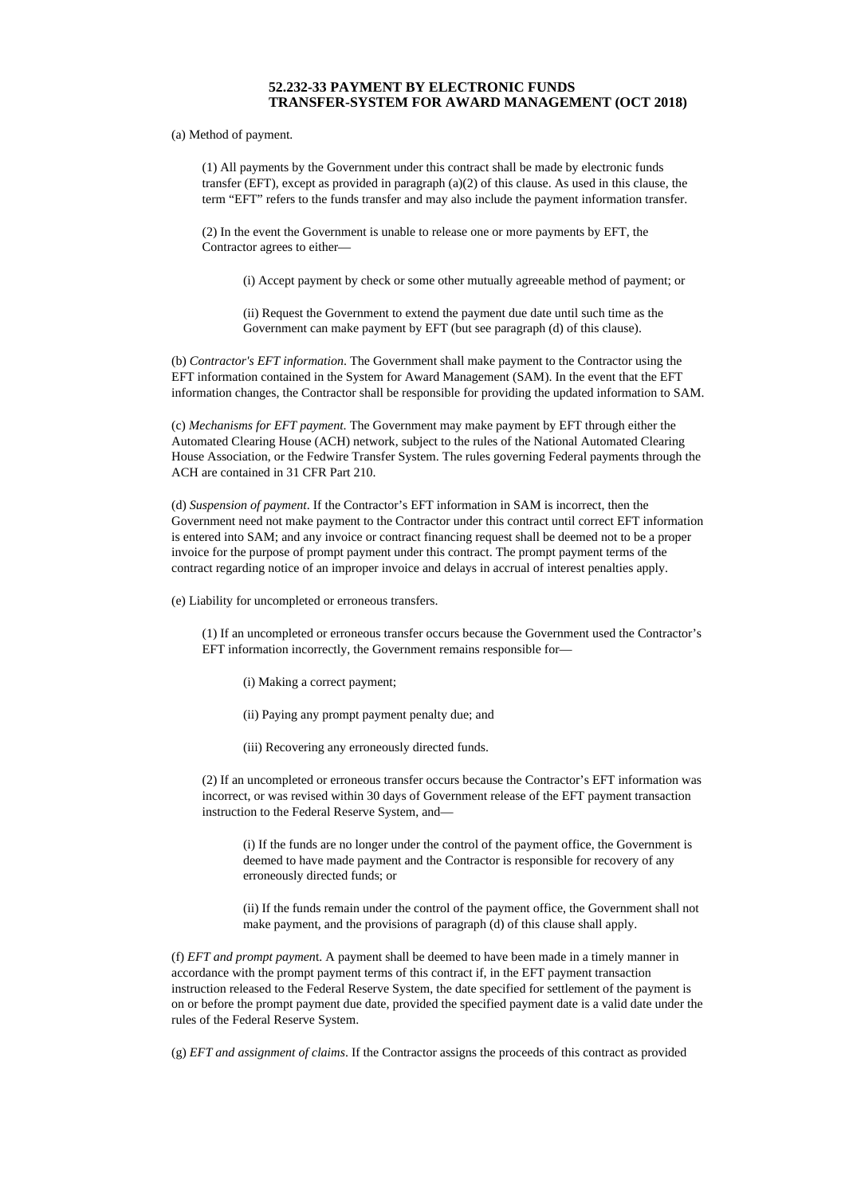## **52.232-33 PAYMENT BY ELECTRONIC FUNDS TRANSFER-SYSTEM FOR AWARD MANAGEMENT (OCT 2018)**

(a) Method of payment.

(1) All payments by the Government under this contract shall be made by electronic funds transfer (EFT), except as provided in paragraph (a)(2) of this clause. As used in this clause, the term "EFT" refers to the funds transfer and may also include the payment information transfer.

(2) In the event the Government is unable to release one or more payments by EFT, the Contractor agrees to either—

(i) Accept payment by check or some other mutually agreeable method of payment; or

(ii) Request the Government to extend the payment due date until such time as the Government can make payment by EFT (but see paragraph (d) of this clause).

(b) *Contractor's EFT information*. The Government shall make payment to the Contractor using the EFT information contained in the System for Award Management (SAM). In the event that the EFT information changes, the Contractor shall be responsible for providing the updated information to SAM.

(c) *Mechanisms for EFT payment*. The Government may make payment by EFT through either the Automated Clearing House (ACH) network, subject to the rules of the National Automated Clearing House Association, or the Fedwire Transfer System. The rules governing Federal payments through the ACH are contained in 31 CFR Part 210.

(d) *Suspension of payment*. If the Contractor's EFT information in SAM is incorrect, then the Government need not make payment to the Contractor under this contract until correct EFT information is entered into SAM; and any invoice or contract financing request shall be deemed not to be a proper invoice for the purpose of prompt payment under this contract. The prompt payment terms of the contract regarding notice of an improper invoice and delays in accrual of interest penalties apply.

(e) Liability for uncompleted or erroneous transfers.

(1) If an uncompleted or erroneous transfer occurs because the Government used the Contractor's EFT information incorrectly, the Government remains responsible for—

- (i) Making a correct payment;
- (ii) Paying any prompt payment penalty due; and
- (iii) Recovering any erroneously directed funds.

(2) If an uncompleted or erroneous transfer occurs because the Contractor's EFT information was incorrect, or was revised within 30 days of Government release of the EFT payment transaction instruction to the Federal Reserve System, and—

(i) If the funds are no longer under the control of the payment office, the Government is deemed to have made payment and the Contractor is responsible for recovery of any erroneously directed funds; or

(ii) If the funds remain under the control of the payment office, the Government shall not make payment, and the provisions of paragraph (d) of this clause shall apply.

(f) *EFT and prompt paymen*t. A payment shall be deemed to have been made in a timely manner in accordance with the prompt payment terms of this contract if, in the EFT payment transaction instruction released to the Federal Reserve System, the date specified for settlement of the payment is on or before the prompt payment due date, provided the specified payment date is a valid date under the rules of the Federal Reserve System.

(g) *EFT and assignment of claims*. If the Contractor assigns the proceeds of this contract as provided